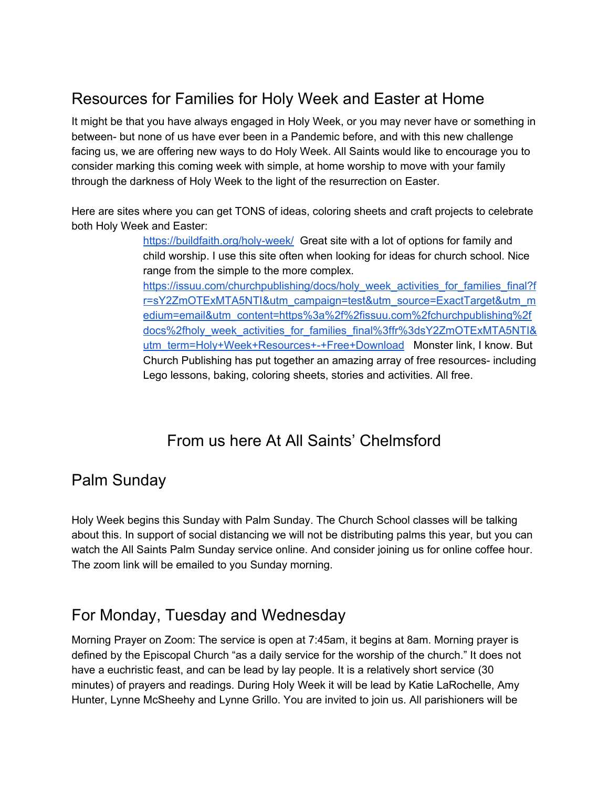# Resources for Families for Holy Week and Easter at Home

It might be that you have always engaged in Holy Week, or you may never have or something in between- but none of us have ever been in a Pandemic before, and with this new challenge facing us, we are offering new ways to do Holy Week. All Saints would like to encourage you to consider marking this coming week with simple, at home worship to move with your family through the darkness of Holy Week to the light of the resurrection on Easter.

Here are sites where you can get TONS of ideas, coloring sheets and craft projects to celebrate both Holy Week and Easter:

> <https://buildfaith.org/holy-week/> Great site with a lot of options for family and child worship. I use this site often when looking for ideas for church school. Nice range from the simple to the more complex. [https://issuu.com/churchpublishing/docs/holy\\_week\\_activities\\_for\\_families\\_final?f](https://issuu.com/churchpublishing/docs/holy_week_activities_for_families_final?fr=sY2ZmOTExMTA5NTI&utm_campaign=test&utm_source=ExactTarget&utm_medium=email&utm_content=https%3a%2f%2fissuu.com%2fchurchpublishing%2fdocs%2fholy_week_activities_for_families_final%3ffr%3dsY2ZmOTExMTA5NTI&utm_term=Holy+Week+Resources+-+Free+Download) [r=sY2ZmOTExMTA5NTI&utm\\_campaign=test&utm\\_source=ExactTarget&utm\\_m](https://issuu.com/churchpublishing/docs/holy_week_activities_for_families_final?fr=sY2ZmOTExMTA5NTI&utm_campaign=test&utm_source=ExactTarget&utm_medium=email&utm_content=https%3a%2f%2fissuu.com%2fchurchpublishing%2fdocs%2fholy_week_activities_for_families_final%3ffr%3dsY2ZmOTExMTA5NTI&utm_term=Holy+Week+Resources+-+Free+Download) [edium=email&utm\\_content=https%3a%2f%2fissuu.com%2fchurchpublishing%2f](https://issuu.com/churchpublishing/docs/holy_week_activities_for_families_final?fr=sY2ZmOTExMTA5NTI&utm_campaign=test&utm_source=ExactTarget&utm_medium=email&utm_content=https%3a%2f%2fissuu.com%2fchurchpublishing%2fdocs%2fholy_week_activities_for_families_final%3ffr%3dsY2ZmOTExMTA5NTI&utm_term=Holy+Week+Resources+-+Free+Download) [docs%2fholy\\_week\\_activities\\_for\\_families\\_final%3ffr%3dsY2ZmOTExMTA5NTI&](https://issuu.com/churchpublishing/docs/holy_week_activities_for_families_final?fr=sY2ZmOTExMTA5NTI&utm_campaign=test&utm_source=ExactTarget&utm_medium=email&utm_content=https%3a%2f%2fissuu.com%2fchurchpublishing%2fdocs%2fholy_week_activities_for_families_final%3ffr%3dsY2ZmOTExMTA5NTI&utm_term=Holy+Week+Resources+-+Free+Download) [utm\\_term=Holy+Week+Resources+-+Free+Download](https://issuu.com/churchpublishing/docs/holy_week_activities_for_families_final?fr=sY2ZmOTExMTA5NTI&utm_campaign=test&utm_source=ExactTarget&utm_medium=email&utm_content=https%3a%2f%2fissuu.com%2fchurchpublishing%2fdocs%2fholy_week_activities_for_families_final%3ffr%3dsY2ZmOTExMTA5NTI&utm_term=Holy+Week+Resources+-+Free+Download) Monster link, I know. But Church Publishing has put together an amazing array of free resources- including Lego lessons, baking, coloring sheets, stories and activities. All free.

### From us here At All Saints' Chelmsford

#### Palm Sunday

Holy Week begins this Sunday with Palm Sunday. The Church School classes will be talking about this. In support of social distancing we will not be distributing palms this year, but you can watch the All Saints Palm Sunday service online. And consider joining us for online coffee hour. The zoom link will be emailed to you Sunday morning.

### For Monday, Tuesday and Wednesday

Morning Prayer on Zoom: The service is open at 7:45am, it begins at 8am. Morning prayer is defined by the Episcopal Church "as a daily service for the worship of the church." It does not have a euchristic feast, and can be lead by lay people. It is a relatively short service (30 minutes) of prayers and readings. During Holy Week it will be lead by Katie LaRochelle, Amy Hunter, Lynne McSheehy and Lynne Grillo. You are invited to join us. All parishioners will be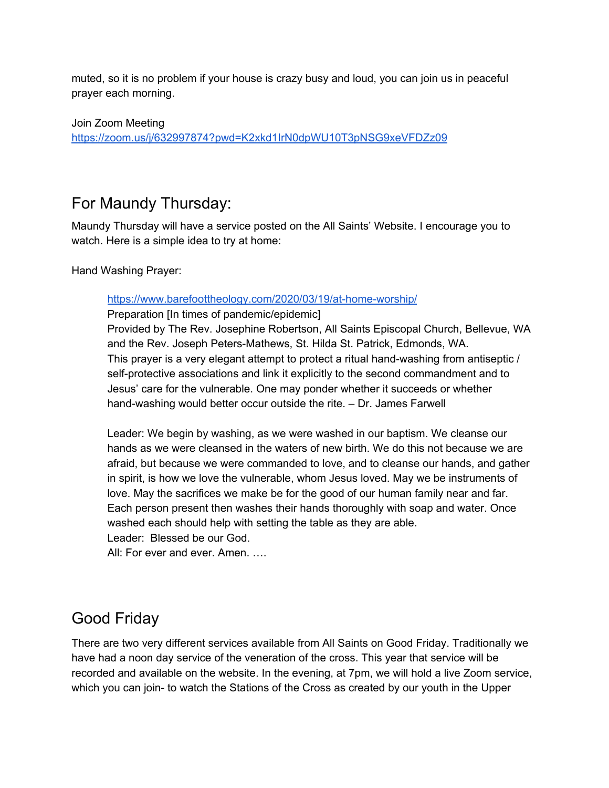muted, so it is no problem if your house is crazy busy and loud, you can join us in peaceful prayer each morning.

Join Zoom Meeting <https://zoom.us/j/632997874?pwd=K2xkd1IrN0dpWU10T3pNSG9xeVFDZz09>

#### For Maundy Thursday:

Maundy Thursday will have a service posted on the All Saints' Website. I encourage you to watch. Here is a simple idea to try at home:

Hand Washing Prayer:

#### <https://www.barefoottheology.com/2020/03/19/at-home-worship/>

Preparation [In times of pandemic/epidemic] Provided by The Rev. Josephine Robertson, All Saints Episcopal Church, Bellevue, WA and the Rev. Joseph Peters-Mathews, St. Hilda St. Patrick, Edmonds, WA. This prayer is a very elegant attempt to protect a ritual hand-washing from antiseptic / self-protective associations and link it explicitly to the second commandment and to Jesus' care for the vulnerable. One may ponder whether it succeeds or whether hand-washing would better occur outside the rite. – Dr. James Farwell

Leader: We begin by washing, as we were washed in our baptism. We cleanse our hands as we were cleansed in the waters of new birth. We do this not because we are afraid, but because we were commanded to love, and to cleanse our hands, and gather in spirit, is how we love the vulnerable, whom Jesus loved. May we be instruments of love. May the sacrifices we make be for the good of our human family near and far. Each person present then washes their hands thoroughly with soap and water. Once washed each should help with setting the table as they are able. Leader: Blessed be our God.

All: For ever and ever. Amen. ….

#### Good Friday

There are two very different services available from All Saints on Good Friday. Traditionally we have had a noon day service of the veneration of the cross. This year that service will be recorded and available on the website. In the evening, at 7pm, we will hold a live Zoom service, which you can join- to watch the Stations of the Cross as created by our youth in the Upper